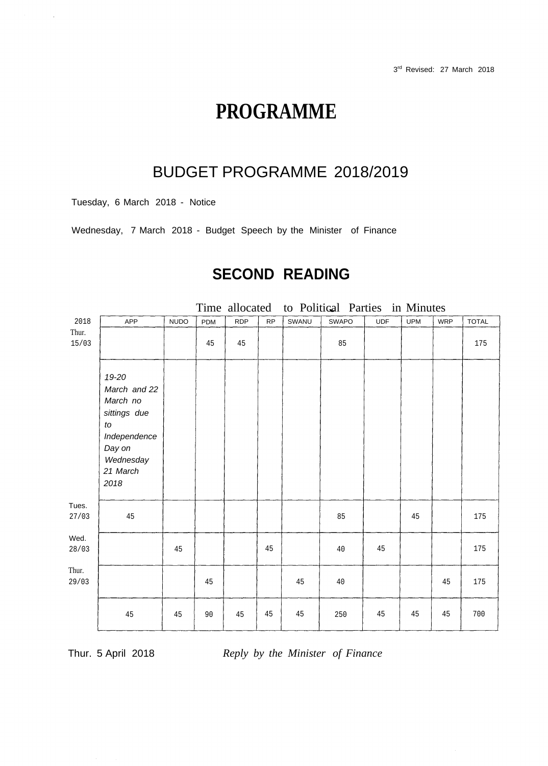## **PROGRAMME**

## BUDGET PROGRAMME 2018/2019

Tuesday, 6 March 2018 - Notice

 $\bar{z}$ 

Wednesday, 7 March 2018 - Budget Speech by the Minister of Finance

## **SECOND READING**

|                |                                                                                                                    |             |     |            |           |       | Time allocated to Political Parties in Minutes |            |            |            |              |
|----------------|--------------------------------------------------------------------------------------------------------------------|-------------|-----|------------|-----------|-------|------------------------------------------------|------------|------------|------------|--------------|
| 2018           | APP                                                                                                                | <b>NUDO</b> | PDM | <b>RDP</b> | <b>RP</b> | SWANU | SWAPO                                          | <b>UDF</b> | <b>UPM</b> | <b>WRP</b> | <b>TOTAL</b> |
| Thur.<br>15/03 |                                                                                                                    |             | 45  | 45         |           |       | 85                                             |            |            |            | 175          |
|                | 19-20<br>March and 22<br>March no<br>sittings due<br>to<br>Independence<br>Day on<br>Wednesday<br>21 March<br>2018 |             |     |            |           |       |                                                |            |            |            |              |
| Tues.<br>27/03 | 45                                                                                                                 |             |     |            |           |       | 85                                             |            | 45         |            | 175          |
| Wed.<br>28/03  |                                                                                                                    | 45          |     |            | 45        |       | 40                                             | 45         |            |            | 175          |
| Thur.<br>29/03 |                                                                                                                    |             | 45  |            |           | 45    | 40                                             |            |            | 45         | 175          |
|                | 45                                                                                                                 | 45          | 90  | 45         | 45        | 45    | 250                                            | 45         | 45         | 45         | 700          |

Thur. 5 April 2018 *Reply by the Minister of Finance*